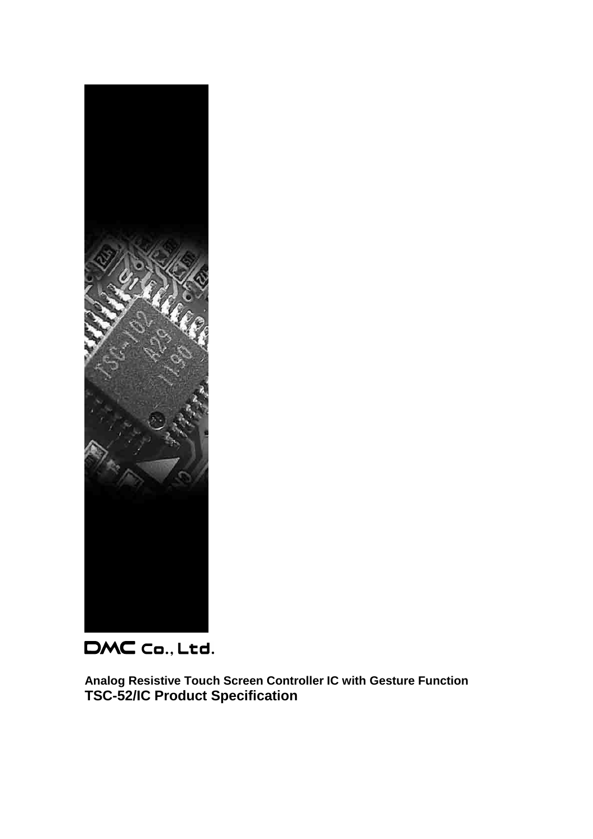

DMC Co., Ltd.

**Analog Resistive Touch Screen Controller IC with Gesture Function TSC-52/IC Product Specification**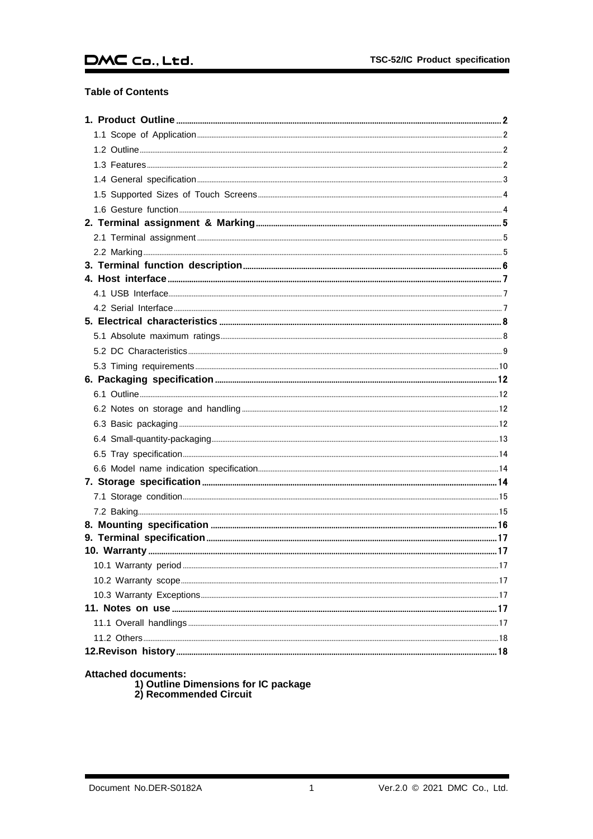## DMC Co., Ltd.

#### **Table of Contents**

Attached documents:<br>1) Outline Dimensions for IC package<br>2) Recommended Circuit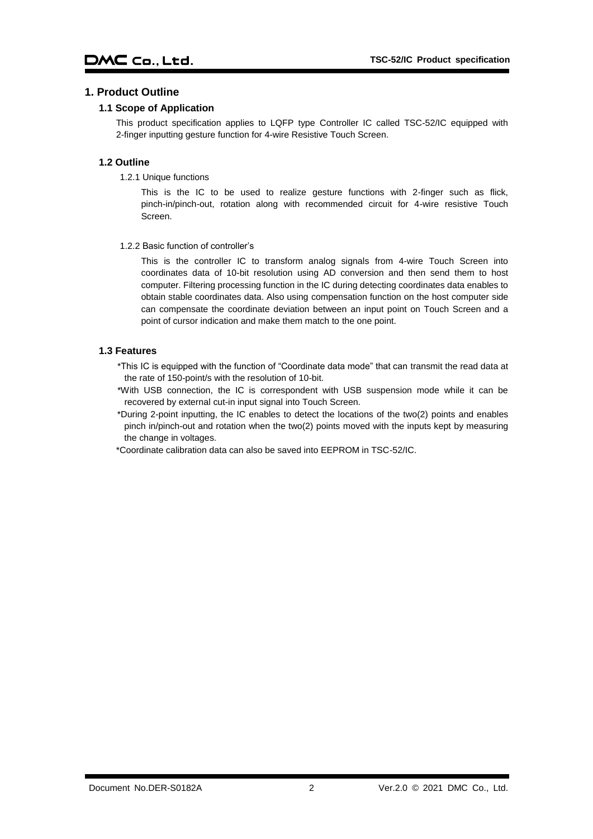#### <span id="page-2-1"></span><span id="page-2-0"></span>**1. Product Outline**

#### **1.1 Scope of Application**

This product specification applies to LQFP type Controller IC called TSC-52/IC equipped with 2-finger inputting gesture function for 4-wire Resistive Touch Screen.

#### <span id="page-2-2"></span>**1.2 Outline**

1.2.1 Unique functions

This is the IC to be used to realize gesture functions with 2-finger such as flick, pinch-in/pinch-out, rotation along with recommended circuit for 4-wire resistive Touch Screen.

1.2.2 Basic function of controller's

This is the controller IC to transform analog signals from 4-wire Touch Screen into coordinates data of 10-bit resolution using AD conversion and then send them to host computer. Filtering processing function in the IC during detecting coordinates data enables to obtain stable coordinates data. Also using compensation function on the host computer side can compensate the coordinate deviation between an input point on Touch Screen and a point of cursor indication and make them match to the one point.

#### <span id="page-2-3"></span>**1.3 Features**

\*This IC is equipped with the function of "Coordinate data mode" that can transmit the read data at the rate of 150-point/s with the resolution of 10-bit.

\*With USB connection, the IC is correspondent with USB suspension mode while it can be recovered by external cut-in input signal into Touch Screen.

\*During 2-point inputting, the IC enables to detect the locations of the two(2) points and enables pinch in/pinch-out and rotation when the two(2) points moved with the inputs kept by measuring the change in voltages.

\*Coordinate calibration data can also be saved into EEPROM in TSC-52/IC.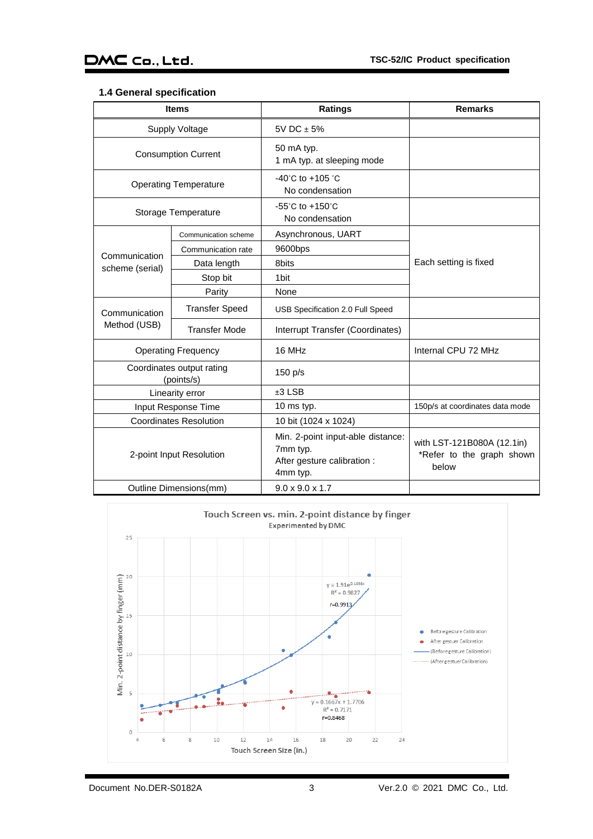#### <span id="page-3-0"></span>**1.4 General specification**

|                                  | <b>Items</b>                            | <b>Ratings</b>                                                                           | <b>Remarks</b>                                                   |
|----------------------------------|-----------------------------------------|------------------------------------------------------------------------------------------|------------------------------------------------------------------|
|                                  | <b>Supply Voltage</b>                   | 5V DC $\pm$ 5%                                                                           |                                                                  |
|                                  | <b>Consumption Current</b>              | 50 mA typ.<br>1 mA typ. at sleeping mode                                                 |                                                                  |
|                                  | <b>Operating Temperature</b>            | $-40^{\circ}$ C to $+105^{\circ}$ C<br>No condensation                                   |                                                                  |
|                                  | Storage Temperature                     | $-55^{\circ}$ C to $+150^{\circ}$ C<br>No condensation                                   |                                                                  |
|                                  | Communication scheme                    | Asynchronous, UART                                                                       |                                                                  |
|                                  | Communication rate                      | 9600bps                                                                                  |                                                                  |
| Communication<br>scheme (serial) | Data length                             | 8bits                                                                                    | Each setting is fixed                                            |
|                                  | Stop bit                                | 1 <sub>bit</sub>                                                                         |                                                                  |
|                                  | Parity                                  | None                                                                                     |                                                                  |
| Communication                    | <b>Transfer Speed</b>                   | USB Specification 2.0 Full Speed                                                         |                                                                  |
| Method (USB)                     | <b>Transfer Mode</b>                    | Interrupt Transfer (Coordinates)                                                         |                                                                  |
|                                  | <b>Operating Frequency</b>              | 16 MHz                                                                                   | Internal CPU 72 MHz                                              |
|                                  | Coordinates output rating<br>(points/s) | 150 p/s                                                                                  |                                                                  |
|                                  | Linearity error                         | $±3$ LSB                                                                                 |                                                                  |
| Input Response Time              |                                         | 10 ms typ.                                                                               | 150p/s at coordinates data mode                                  |
| <b>Coordinates Resolution</b>    |                                         | 10 bit (1024 x 1024)                                                                     |                                                                  |
| 2-point Input Resolution         |                                         | Min. 2-point input-able distance:<br>7mm typ.<br>After gesture calibration :<br>4mm typ. | with LST-121B080A (12.1in)<br>*Refer to the graph shown<br>below |
|                                  | Outline Dimensions(mm)                  | $9.0 \times 9.0 \times 1.7$                                                              |                                                                  |

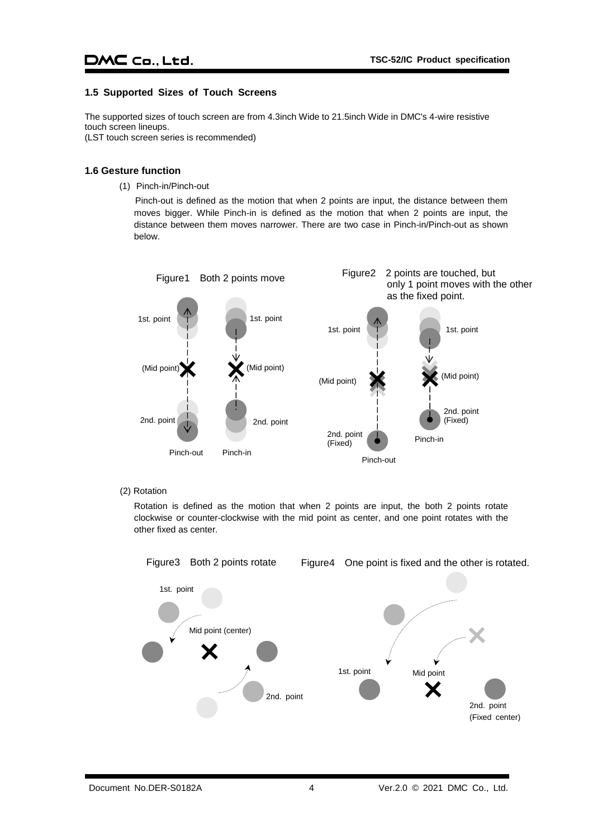#### <span id="page-4-0"></span>**1.5 Supported Sizes of Touch Screens**

The supported sizes of touch screen are from 4.3inch Wide to 21.5inch Wide in DMC's 4-wire resistive touch screen lineups.

(LST touch screen series is recommended)

#### <span id="page-4-1"></span>**1.6 Gesture function**

(1) Pinch-in/Pinch-out

Pinch-out is defined as the motion that when 2 points are input, the distance between them moves bigger. While Pinch-in is defined as the motion that when 2 points are input, the distance between them moves narrower. There are two case in Pinch-in/Pinch-out as shown below.



#### (2) Rotation

Rotation is defined as the motion that when 2 points are input, the both 2 points rotate clockwise or counter-clockwise with the mid point as center, and one point rotates with the other fixed as center.

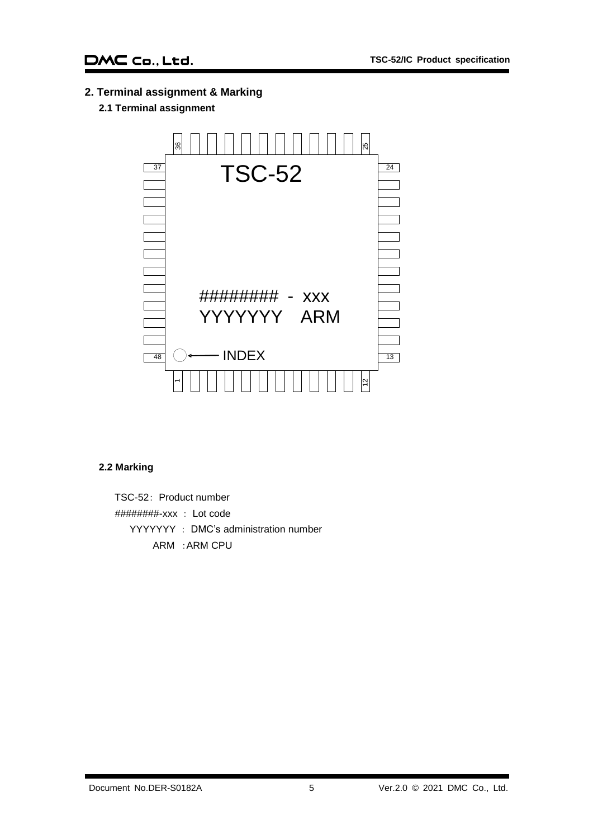<span id="page-5-1"></span><span id="page-5-0"></span>**2. Terminal assignment & Marking**

## **2.1 Terminal assignment**



#### <span id="page-5-2"></span>**2.2 Marking**

TSC-52: Product number ########-xxx : Lot code YYYYYYY : DMC's administration number ARM :ARM CPU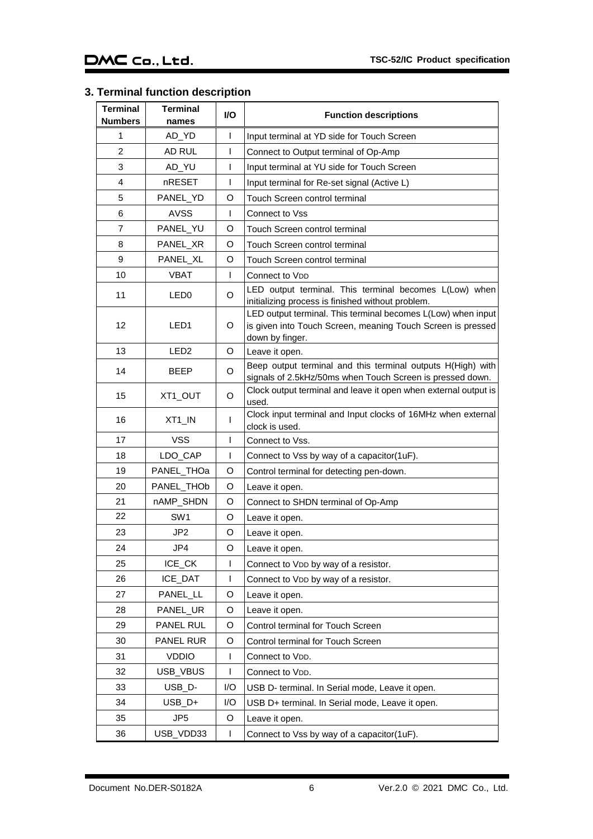## <span id="page-6-0"></span>**3. Terminal function description**

| <b>Terminal</b><br><b>Numbers</b> | <b>Terminal</b><br>names | I/O          | <b>Function descriptions</b>                                                                                                                   |
|-----------------------------------|--------------------------|--------------|------------------------------------------------------------------------------------------------------------------------------------------------|
| 1                                 | AD_YD                    | T            | Input terminal at YD side for Touch Screen                                                                                                     |
| $\overline{2}$                    | AD RUL                   | T            | Connect to Output terminal of Op-Amp                                                                                                           |
| 3                                 | AD_YU                    | I            | Input terminal at YU side for Touch Screen                                                                                                     |
| 4                                 | nRESET                   | $\mathsf{I}$ | Input terminal for Re-set signal (Active L)                                                                                                    |
| 5                                 | PANEL_YD                 | O            | Touch Screen control terminal                                                                                                                  |
| 6                                 | <b>AVSS</b>              | L            | Connect to Vss                                                                                                                                 |
| $\overline{7}$                    | PANEL_YU                 | O            | Touch Screen control terminal                                                                                                                  |
| 8                                 | PANEL_XR                 | O            | Touch Screen control terminal                                                                                                                  |
| 9                                 | PANEL_XL                 | O            | Touch Screen control terminal                                                                                                                  |
| 10                                | <b>VBAT</b>              | L            | Connect to VDD                                                                                                                                 |
| 11                                | LED <sub>0</sub>         | O            | LED output terminal. This terminal becomes L(Low) when<br>initializing process is finished without problem.                                    |
| 12                                | LED <sub>1</sub>         | O            | LED output terminal. This terminal becomes L(Low) when input<br>is given into Touch Screen, meaning Touch Screen is pressed<br>down by finger. |
| 13                                | LED <sub>2</sub>         | O            | Leave it open.                                                                                                                                 |
| 14                                | <b>BEEP</b>              | O            | Beep output terminal and this terminal outputs H(High) with<br>signals of 2.5kHz/50ms when Touch Screen is pressed down.                       |
| 15                                | XT1_OUT                  | O            | Clock output terminal and leave it open when external output is<br>used.                                                                       |
| 16                                | XT1_IN                   | T            | Clock input terminal and Input clocks of 16MHz when external<br>clock is used.                                                                 |
| 17                                | <b>VSS</b>               | T            | Connect to Vss.                                                                                                                                |
| 18                                | LDO_CAP                  | L            | Connect to Vss by way of a capacitor(1uF).                                                                                                     |
| 19                                | PANEL_THOa               | O            | Control terminal for detecting pen-down.                                                                                                       |
| 20                                | PANEL THOb               | O            | Leave it open.                                                                                                                                 |
| 21                                | nAMP_SHDN                | O            | Connect to SHDN terminal of Op-Amp                                                                                                             |
| 22                                | SW <sub>1</sub>          | O            | Leave it open.                                                                                                                                 |
| 23                                | JP2                      | O            | Leave it open.                                                                                                                                 |
| 24                                | JP4                      | O            | Leave it open.                                                                                                                                 |
| 25                                | ICE_CK                   | L            | Connect to VDD by way of a resistor.                                                                                                           |
| 26                                | ICE_DAT                  | T            | Connect to VDD by way of a resistor.                                                                                                           |
| 27                                | PANEL_LL                 | O            | Leave it open.                                                                                                                                 |
| 28                                | PANEL_UR                 | O            | Leave it open.                                                                                                                                 |
| 29                                | PANEL RUL                | O            | Control terminal for Touch Screen                                                                                                              |
| 30                                | PANEL RUR                | O            | Control terminal for Touch Screen                                                                                                              |
| 31                                | <b>VDDIO</b>             | L            | Connect to VDD.                                                                                                                                |
| 32                                | USB_VBUS                 | L            | Connect to VDD.                                                                                                                                |
| 33                                | USB_D-                   | I/O          | USB D- terminal. In Serial mode, Leave it open.                                                                                                |
| 34                                | $USB_D+$                 | I/O          | USB D+ terminal. In Serial mode, Leave it open.                                                                                                |
| 35                                | JP5                      | O            | Leave it open.                                                                                                                                 |
| 36                                | USB_VDD33                | L            | Connect to Vss by way of a capacitor(1uF).                                                                                                     |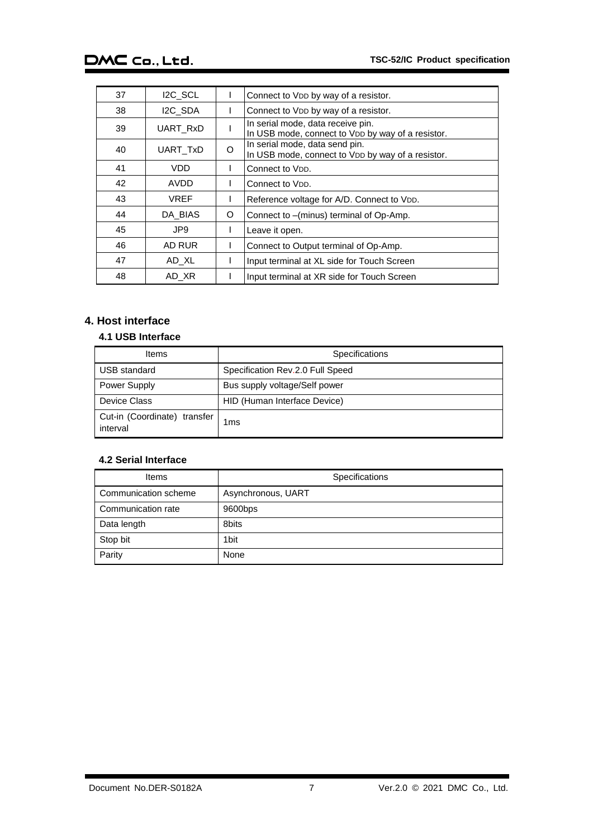| 37 | I <sub>2C</sub> SCL |          | Connect to VDD by way of a resistor.                                                   |
|----|---------------------|----------|----------------------------------------------------------------------------------------|
| 38 | I2C SDA             |          | Connect to VDD by way of a resistor.                                                   |
| 39 | UART RxD            |          | In serial mode, data receive pin.<br>In USB mode, connect to VDD by way of a resistor. |
| 40 | UART TxD            | $\Omega$ | In serial mode, data send pin.<br>In USB mode, connect to VDD by way of a resistor.    |
| 41 | VDD                 |          | Connect to V <sub>DD</sub> .                                                           |
| 42 | AVDD                |          | Connect to V <sub>DD</sub> .                                                           |
| 43 | <b>VREF</b>         |          | Reference voltage for A/D. Connect to VDD.                                             |
| 44 | DA BIAS             | O        | Connect to -(minus) terminal of Op-Amp.                                                |
| 45 | JP9                 |          | Leave it open.                                                                         |
| 46 | AD RUR              |          | Connect to Output terminal of Op-Amp.                                                  |
| 47 | AD XL               |          | Input terminal at XL side for Touch Screen                                             |
| 48 | AD XR               |          | Input terminal at XR side for Touch Screen                                             |

## <span id="page-7-0"></span>**4. Host interface**

#### <span id="page-7-1"></span>**4.1 USB Interface**

| Items                                    | <b>Specifications</b>            |
|------------------------------------------|----------------------------------|
| <b>USB</b> standard                      | Specification Rev.2.0 Full Speed |
| <b>Power Supply</b>                      | Bus supply voltage/Self power    |
| <b>Device Class</b>                      | HID (Human Interface Device)     |
| Cut-in (Coordinate) transfer<br>interval | 1ms                              |

### <span id="page-7-2"></span>**4.2 Serial Interface**

| Items                | Specifications     |
|----------------------|--------------------|
| Communication scheme | Asynchronous, UART |
| Communication rate   | 9600bps            |
| Data length          | 8bits              |
| Stop bit             | 1 <sub>bit</sub>   |
| Parity               | None               |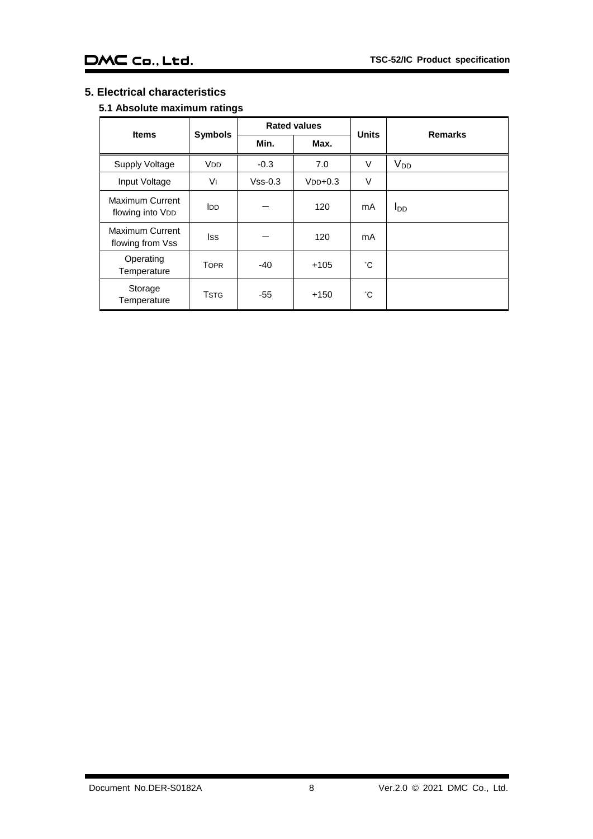## <span id="page-8-1"></span><span id="page-8-0"></span>**5. Electrical characteristics**

## **5.1 Absolute maximum ratings**

| <b>Items</b>                        | <b>Rated values</b>   |           | <b>Units</b> | <b>Remarks</b> |            |
|-------------------------------------|-----------------------|-----------|--------------|----------------|------------|
|                                     | <b>Symbols</b>        | Min.      | Max.         |                |            |
| <b>Supply Voltage</b>               | <b>V<sub>DD</sub></b> | $-0.3$    | 7.0          | $\vee$         | $V_{DD}$   |
| Input Voltage                       | Vı                    | $Vss-0.3$ | $VDD+0.3$    | $\vee$         |            |
| Maximum Current<br>flowing into VDD | <b>I</b> DD           |           | 120          | mA             | <u>Inn</u> |
| Maximum Current<br>flowing from Vss | lss                   |           | 120          | mA             |            |
| Operating<br>Temperature            | <b>TOPR</b>           | $-40$     | $+105$       | °С             |            |
| Storage<br>Temperature              | <b>TSTG</b>           | -55       | $+150$       | °С             |            |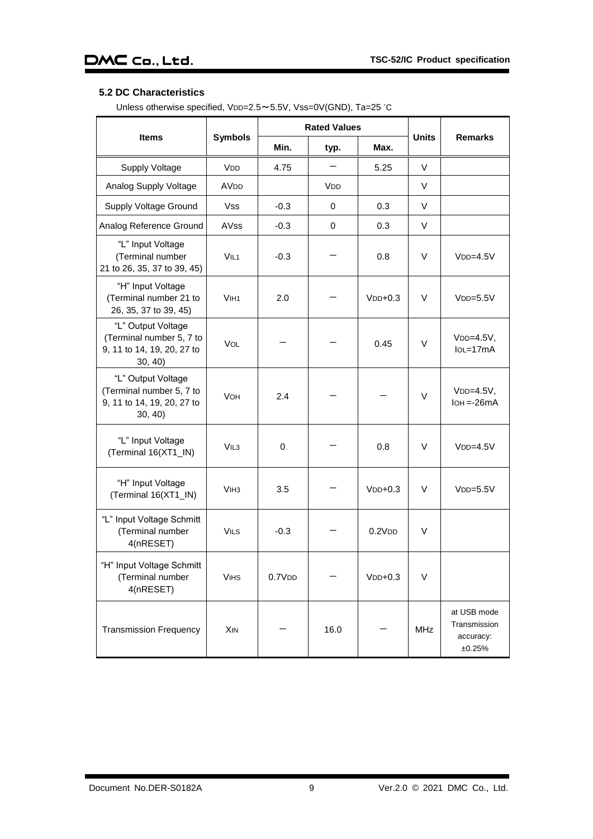## <span id="page-9-0"></span>**5.2 DC Characteristics**

Unless otherwise specified, VDD=2.5~5.5V, Vss=0V(GND), Ta=25 °C

|                                                                                         |                        |        | <b>Rated Values</b>   | <b>Units</b> |            |                                                    |
|-----------------------------------------------------------------------------------------|------------------------|--------|-----------------------|--------------|------------|----------------------------------------------------|
| <b>Items</b>                                                                            | <b>Symbols</b>         | Min.   | typ.                  | Max.         |            | <b>Remarks</b>                                     |
| <b>Supply Voltage</b>                                                                   | <b>V<sub>DD</sub></b>  | 4.75   |                       | 5.25         | V          |                                                    |
| Analog Supply Voltage                                                                   | <b>AV<sub>DD</sub></b> |        | <b>V<sub>DD</sub></b> |              | V          |                                                    |
| Supply Voltage Ground                                                                   | Vss                    | $-0.3$ | 0                     | 0.3          | V          |                                                    |
| Analog Reference Ground                                                                 | <b>AVss</b>            | $-0.3$ | $\Omega$              | 0.3          | V          |                                                    |
| "L" Input Voltage<br>(Terminal number<br>21 to 26, 35, 37 to 39, 45)                    | VIL <sub>1</sub>       | $-0.3$ |                       | 0.8          | $\vee$     | $VDD=4.5V$                                         |
| "H" Input Voltage<br>(Terminal number 21 to<br>26, 35, 37 to 39, 45)                    | V <sub>IH1</sub>       | 2.0    |                       | $VDD+0.3$    | $\vee$     | $VDD=5.5V$                                         |
| "L" Output Voltage<br>(Terminal number 5, 7 to<br>9, 11 to 14, 19, 20, 27 to<br>30, 40) | <b>VOL</b>             |        |                       | 0.45         | V          | $VDD=4.5V,$<br>$IoL = 17mA$                        |
| "L" Output Voltage<br>(Terminal number 5, 7 to<br>9, 11 to 14, 19, 20, 27 to<br>30, 40  | <b>VOH</b>             | 2.4    |                       |              | $\vee$     | $VDD=4.5V,$<br>$IOH = -26mA$                       |
| "L" Input Voltage<br>(Terminal 16(XT1_IN)                                               | VIL3                   | 0      |                       | 0.8          | V          | $VDD=4.5V$                                         |
| "H" Input Voltage<br>(Terminal 16(XT1_IN)                                               | V <sub>IH3</sub>       | 3.5    |                       | $VDD+0.3$    | $\vee$     | $VDD=5.5V$                                         |
| "L" Input Voltage Schmitt<br>(Terminal number<br>4(nRESET)                              | <b>VILS</b>            | $-0.3$ |                       | 0.2VDD       | $\vee$     |                                                    |
| "H" Input Voltage Schmitt<br>(Terminal number<br>4(nRESET)                              | <b>VIHS</b>            | 0.7VDD |                       | $VDD+0.3$    | $\vee$     |                                                    |
| <b>Transmission Frequency</b>                                                           | <b>XIN</b>             |        | 16.0                  |              | <b>MHz</b> | at USB mode<br>Transmission<br>accuracy:<br>±0.25% |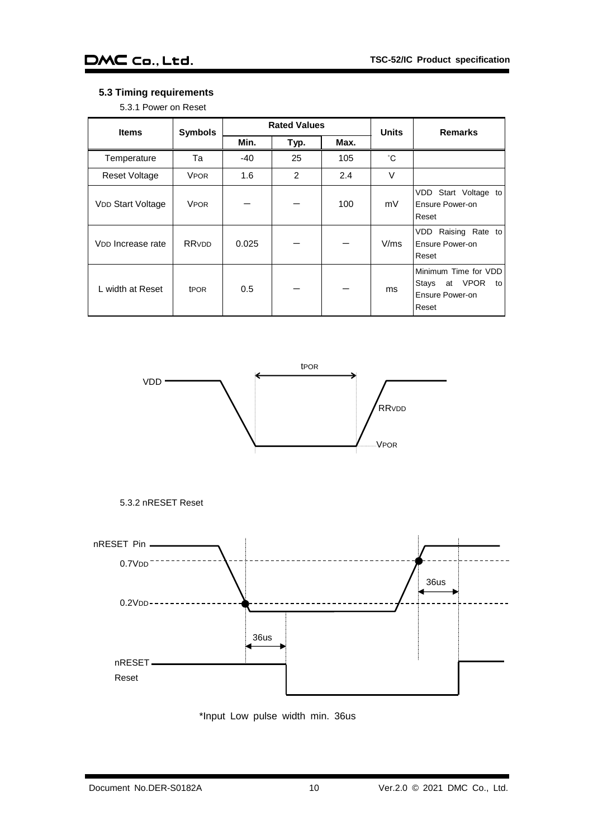#### <span id="page-10-0"></span>**5.3 Timing requirements**

5.3.1 Power on Reset

| <b>Items</b>                  | <b>Symbols</b>   |       | <b>Rated Values</b> |      |              | <b>Remarks</b>                                                                       |
|-------------------------------|------------------|-------|---------------------|------|--------------|--------------------------------------------------------------------------------------|
|                               |                  | Min.  | Typ.                | Max. | <b>Units</b> |                                                                                      |
| Temperature                   | Та               | $-40$ | 25                  | 105  | °С           |                                                                                      |
| <b>Reset Voltage</b>          | <b>VPOR</b>      | 1.6   | $\overline{2}$      | 2.4  | $\vee$       |                                                                                      |
| <b>VDD Start Voltage</b>      | <b>VPOR</b>      |       |                     | 100  | mV           | VDD<br>Start Voltage to<br>Ensure Power-on<br>Reset                                  |
| V <sub>DD</sub> Increase rate | RRVDD            | 0.025 |                     |      | V/ms         | Raising Rate to<br>VDD<br>Ensure Power-on<br>Reset                                   |
| L width at Reset              | t <sub>POR</sub> | 0.5   |                     |      | ms           | Minimum Time for VDD<br><b>VPOR</b><br>Stays<br>at<br>to<br>Ensure Power-on<br>Reset |







\*Input Low pulse width min. 36us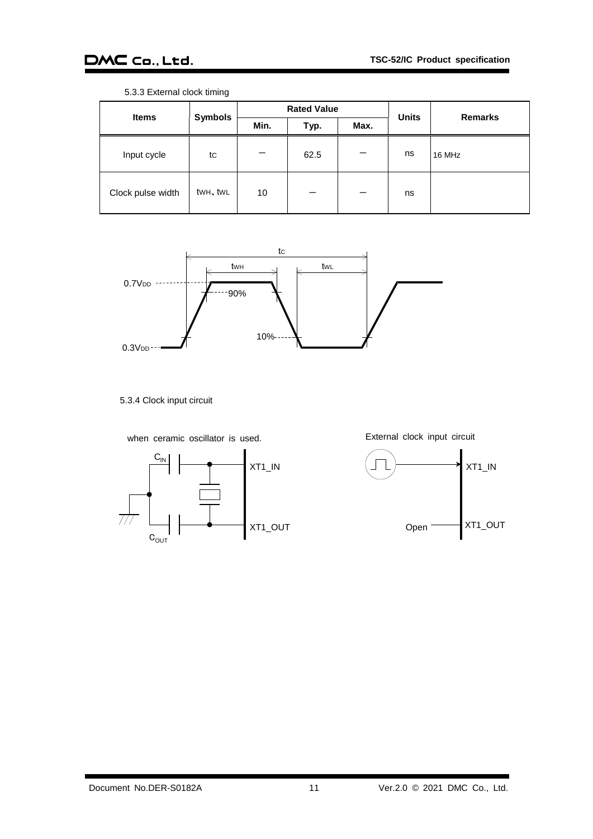| <b>Items</b>      |                | <b>Rated Value</b> |      |      |              | <b>Remarks</b> |
|-------------------|----------------|--------------------|------|------|--------------|----------------|
|                   | <b>Symbols</b> | Min.               | Typ. | Max. | <b>Units</b> |                |
| Input cycle       | tc             |                    | 62.5 |      | ns           | 16 MHz         |
| Clock pulse width | twh, twl       | 10                 |      |      | ns           |                |

5.3.3 External clock timing



5.3.4 Clock input circuit

when ceramic oscillator is used.



External clock input circuit

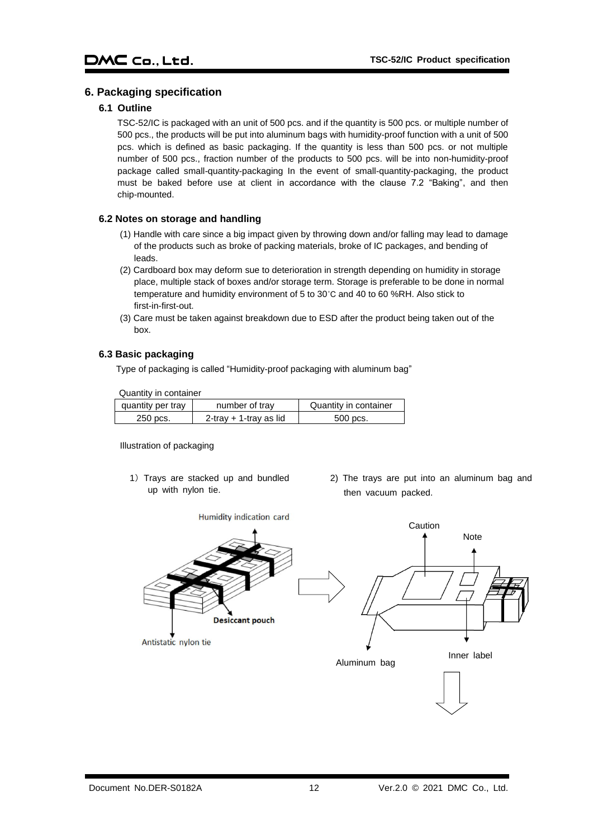#### <span id="page-12-1"></span><span id="page-12-0"></span>**6. Packaging specification**

#### **6.1 Outline**

TSC-52/IC is packaged with an unit of 500 pcs. and if the quantity is 500 pcs. or multiple number of 500 pcs., the products will be put into aluminum bags with humidity-proof function with a unit of 500 pcs. which is defined as basic packaging. If the quantity is less than 500 pcs. or not multiple number of 500 pcs., fraction number of the products to 500 pcs. will be into non-humidity-proof package called small-quantity-packaging In the event of small-quantity-packaging, the product must be baked before use at client in accordance with the clause 7.2 "Baking", and then chip-mounted.

#### <span id="page-12-2"></span>**6.2 Notes on storage and handling**

- (1) Handle with care since a big impact given by throwing down and/or falling may lead to damage of the products such as broke of packing materials, broke of IC packages, and bending of leads.
- (2) Cardboard box may deform sue to deterioration in strength depending on humidity in storage place, multiple stack of boxes and/or storage term. Storage is preferable to be done in normal temperature and humidity environment of 5 to 30˚C and 40 to 60 %RH. Also stick to first-in-first-out.
- (3) Care must be taken against breakdown due to ESD after the product being taken out of the box.

#### <span id="page-12-3"></span>**6.3 Basic packaging**

Type of packaging is called "Humidity-proof packaging with aluminum bag"

Quantity in container

| quantity per tray | number of tray         | Quantity in container |
|-------------------|------------------------|-----------------------|
| 250 pcs.          | 2-tray + 1-tray as lid | 500 pcs.              |

Illustration of packaging

- 1) Trays are stacked up and bundled up with nylon tie.
- 2) The trays are put into an aluminum bag and then vacuum packed.

Humidity indication card

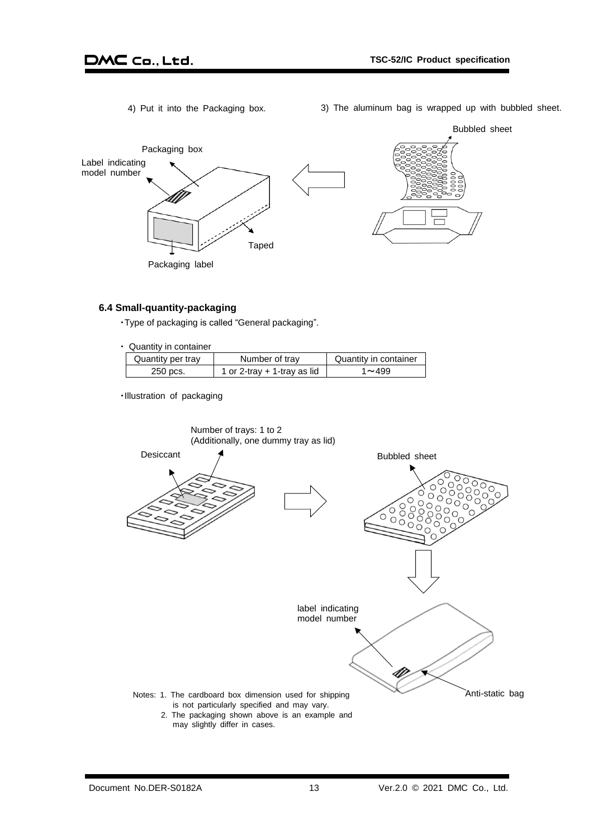- 
- 4) Put it into the Packaging box. 3) The aluminum bag is wrapped up with bubbled sheet.



#### <span id="page-13-0"></span>**6.4 Small-quantity-packaging**

・Type of packaging is called "General packaging".

|  | Quantity in container |
|--|-----------------------|
|  |                       |

| Quantity per tray | Number of tray                | Quantity in container |
|-------------------|-------------------------------|-----------------------|
| 250 pcs.          | 1 or 2-tray $+$ 1-tray as lid | $1 - 499$             |
|                   |                               |                       |

・Illustration of packaging

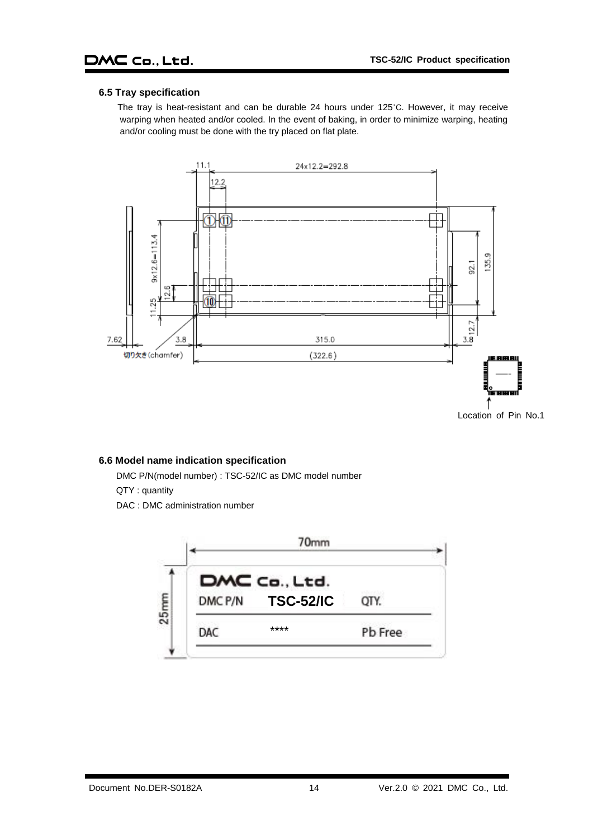#### <span id="page-14-0"></span>**6.5 Tray specification**

The tray is heat-resistant and can be durable 24 hours under 125˚C. However, it may receive warping when heated and/or cooled. In the event of baking, in order to minimize warping, heating and/or cooling must be done with the try placed on flat plate.



#### <span id="page-14-1"></span>**6.6 Model name indication specification**

DMC P/N(model number) : TSC-52/IC as DMC model number

QTY : quantity

DAC : DMC administration number

<span id="page-14-2"></span>

|            |         | 70mm                              |         |
|------------|---------|-----------------------------------|---------|
| <b>Smm</b> | DMC P/N | DMC Co., Ltd.<br><b>TSC-52/IC</b> | OTY.    |
|            | DAC     | ****                              | Pb Free |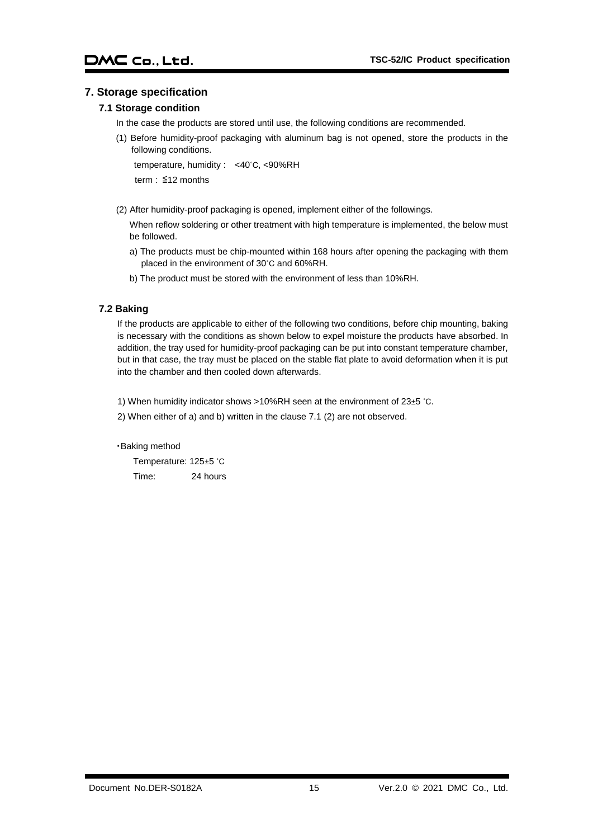#### <span id="page-15-0"></span>**7. Storage specification**

#### **7.1 Storage condition**

- In the case the products are stored until use, the following conditions are recommended.
- (1) Before humidity-proof packaging with aluminum bag is not opened, store the products in the following conditions.

temperature, humidity : <40˚C, <90%RH

term : ≦12 months

(2) After humidity-proof packaging is opened, implement either of the followings.

When reflow soldering or other treatment with high temperature is implemented, the below must be followed.

- a) The products must be chip-mounted within 168 hours after opening the packaging with them placed in the environment of 30˚C and 60%RH.
- b) The product must be stored with the environment of less than 10%RH.

#### <span id="page-15-1"></span>**7.2 Baking**

If the products are applicable to either of the following two conditions, before chip mounting, baking is necessary with the conditions as shown below to expel moisture the products have absorbed. In addition, the tray used for humidity-proof packaging can be put into constant temperature chamber, but in that case, the tray must be placed on the stable flat plate to avoid deformation when it is put into the chamber and then cooled down afterwards.

1) When humidity indicator shows >10%RH seen at the environment of 23±5 ˚C.

2) When either of a) and b) written in the clause 7.1 (2) are not observed.

#### ・Baking method

Temperature: 125±5 ˚C Time: 24 hours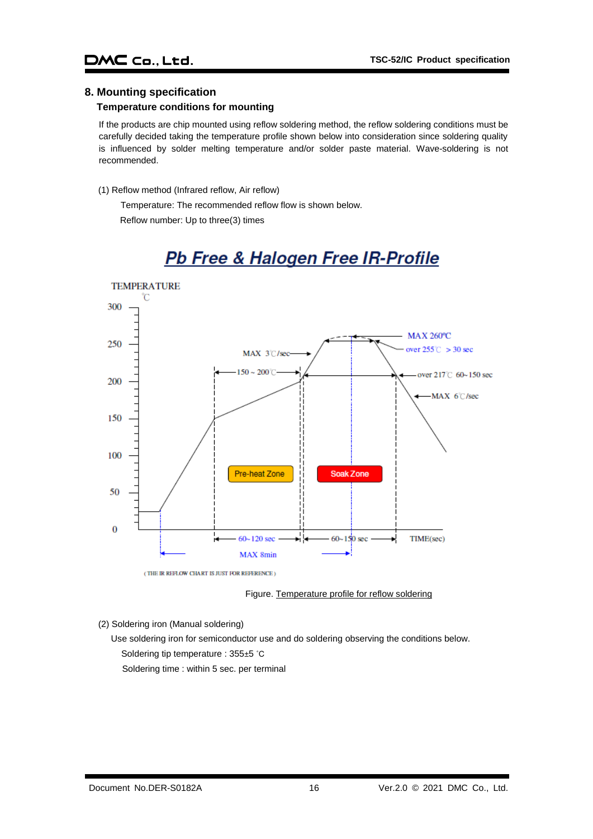#### <span id="page-16-0"></span>**8. Mounting specification**

### **Temperature conditions for mounting**

If the products are chip mounted using reflow soldering method, the reflow soldering conditions must be carefully decided taking the temperature profile shown below into consideration since soldering quality is influenced by solder melting temperature and/or solder paste material. Wave-soldering is not recommended.

#### (1) Reflow method (Infrared reflow, Air reflow)

Temperature: The recommended reflow flow is shown below. Reflow number: Up to three(3) times



# Pb Free & Halogen Free IR-Profile

Figure. Temperature profile for reflow soldering

(2) Soldering iron (Manual soldering)

Use soldering iron for semiconductor use and do soldering observing the conditions below. Soldering tip temperature : 355±5 ˚C Soldering time : within 5 sec. per terminal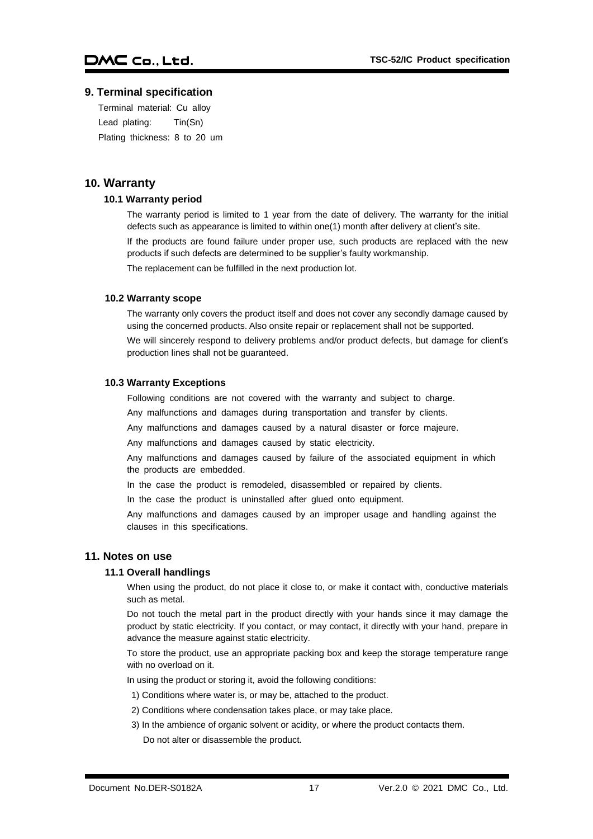#### <span id="page-17-0"></span>**9. Terminal specification**

Terminal material: Cu alloy Lead plating: Tin(Sn) Plating thickness: 8 to 20 um

#### <span id="page-17-2"></span><span id="page-17-1"></span>**10. Warranty**

#### **10.1 Warranty period**

The warranty period is limited to 1 year from the date of delivery. The warranty for the initial defects such as appearance is limited to within one(1) month after delivery at client's site.

If the products are found failure under proper use, such products are replaced with the new products if such defects are determined to be supplier's faulty workmanship.

The replacement can be fulfilled in the next production lot.

#### <span id="page-17-3"></span>**10.2 Warranty scope**

The warranty only covers the product itself and does not cover any secondly damage caused by using the concerned products. Also onsite repair or replacement shall not be supported.

We will sincerely respond to delivery problems and/or product defects, but damage for client's production lines shall not be guaranteed.

#### <span id="page-17-4"></span>**10.3 Warranty Exceptions**

Following conditions are not covered with the warranty and subject to charge.

Any malfunctions and damages during transportation and transfer by clients.

Any malfunctions and damages caused by a natural disaster or force majeure.

Any malfunctions and damages caused by static electricity.

Any malfunctions and damages caused by failure of the associated equipment in which the products are embedded.

In the case the product is remodeled, disassembled or repaired by clients.

In the case the product is uninstalled after glued onto equipment.

Any malfunctions and damages caused by an improper usage and handling against the clauses in this specifications.

#### <span id="page-17-6"></span><span id="page-17-5"></span>**11. Notes on use**

#### **11.1 Overall handlings**

When using the product, do not place it close to, or make it contact with, conductive materials such as metal.

Do not touch the metal part in the product directly with your hands since it may damage the product by static electricity. If you contact, or may contact, it directly with your hand, prepare in advance the measure against static electricity.

To store the product, use an appropriate packing box and keep the storage temperature range with no overload on it.

In using the product or storing it, avoid the following conditions:

- 1) Conditions where water is, or may be, attached to the product.
- 2) Conditions where condensation takes place, or may take place.
- 3) In the ambience of organic solvent or acidity, or where the product contacts them. Do not alter or disassemble the product.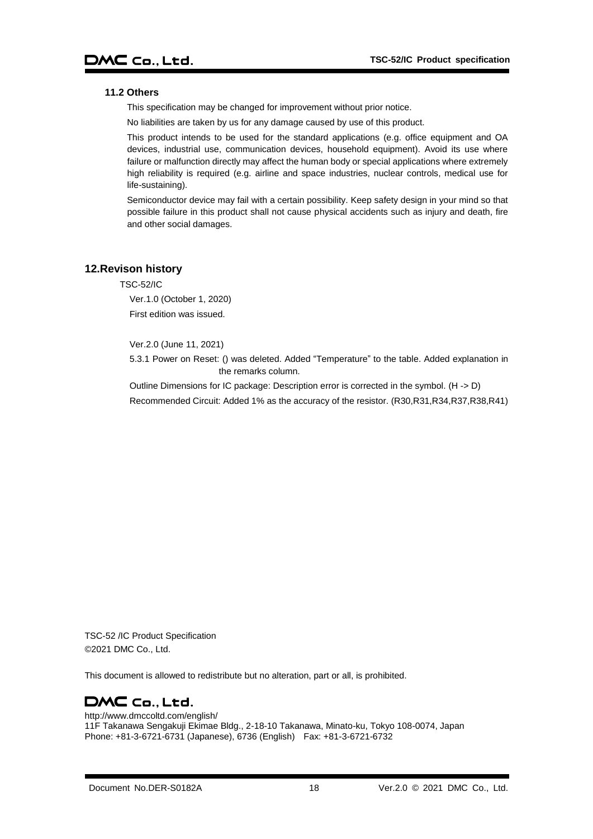#### <span id="page-18-0"></span>**11.2 Others**

This specification may be changed for improvement without prior notice.

No liabilities are taken by us for any damage caused by use of this product.

This product intends to be used for the standard applications (e.g. office equipment and OA devices, industrial use, communication devices, household equipment). Avoid its use where failure or malfunction directly may affect the human body or special applications where extremely high reliability is required (e.g. airline and space industries, nuclear controls, medical use for life-sustaining).

Semiconductor device may fail with a certain possibility. Keep safety design in your mind so that possible failure in this product shall not cause physical accidents such as injury and death, fire and other social damages.

#### <span id="page-18-1"></span>**12.Revison history**

TSC-52/IC

Ver.1.0 (October 1, 2020) First edition was issued.

Ver.2.0 (June 11, 2021)

5.3.1 Power on Reset: () was deleted. Added "Temperature" to the table. Added explanation in the remarks column.

Outline Dimensions for IC package: Description error is corrected in the symbol. (H -> D) Recommended Circuit: Added 1% as the accuracy of the resistor. (R30,R31,R34,R37,R38,R41)

TSC-52 /IC Product Specification ©2021 DMC Co., Ltd.

This document is allowed to redistribute but no alteration, part or all, is prohibited.

## DMC Co., Ltd.

http://www.dmccoltd.com/english/ 11F Takanawa Sengakuji Ekimae Bldg., 2-18-10 Takanawa, Minato-ku, Tokyo 108-0074, Japan Phone: +81-3-6721-6731 (Japanese), 6736 (English) Fax: +81-3-6721-6732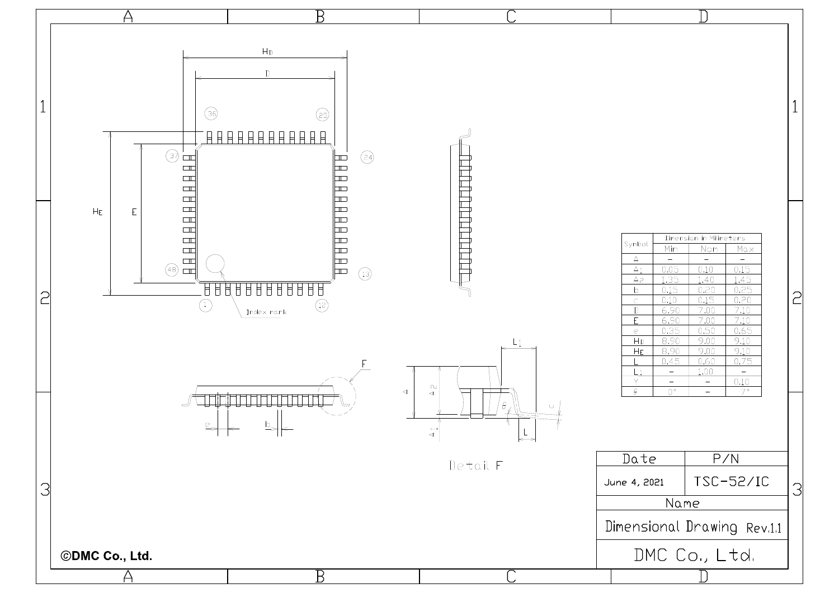